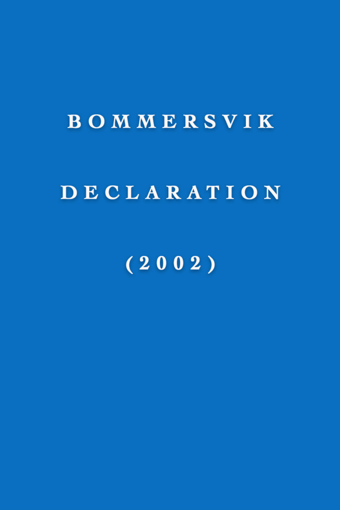## BOMMERSVIK

### DECLARATION

## $(2002)$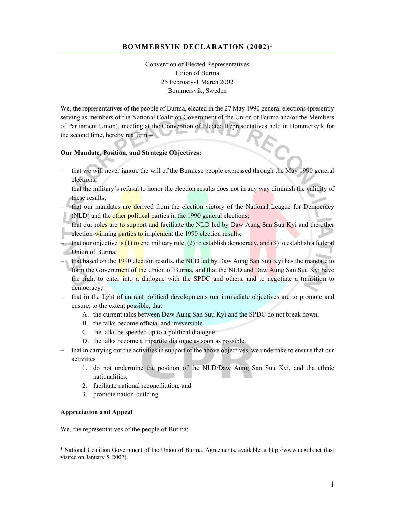#### **BOMMERSVIK DECLARATION (2002)1**

Convention of Elected Representatives Union of Burma 25 February-1 March 2002 Bommersvik, Sweden

We, the representatives of the people of Burma, elected in the 27 May 1990 general elections (presently serving as members of the National Coalition Government of the Union of Burma and/or the Members of Parliament Union), meeting at the Convention of Elected Representatives held in Bommersvik for the second time, hereby reaffirm –

#### **Our Mandate, Position, and Strategic Objectives:**

- that we will never ignore the will of the Burmese people expressed through the May 1990 general elections;
- that the military's refusal to honor the election results does not in any way diminish the validity of these results;
- that our mandates are derived from the election victory of the National League for Democracy (NLD) and the other political parties in the 1990 general elections;
- that our roles are to support and facilitate the NLD led by Daw Aung San Suu Kyi and the other election-winning parties to implement the 1990 election results;
- that our objective is (1) to end military rule, (2) to establish democracy, and (3) to establish a federal Union of Burma;
- that based on the 1990 election results, the NLD led by Daw Aung San Suu Kyi has the mandate to form the Government of the Union of Burma, and that the NLD and Daw Aung San Suu Kyi have the right to enter into a dialogue with the SPDC and others, and to negotiate a transition to democracy;
- that in the light of current political developments our immediate objectives are to promote and ensure, to the extent possible, that
	- A. the current talks between Daw Aung San Suu Kyi and the SPDC do not break down,
	- B. the talks become official and irreversible
	- C. the talks be speeded up to a political dialogue
	- D. the talks become a tripartite dialogue as soon as possible.
- that in carrying out the activities in support of the above objectives, we undertake to ensure that our activities
	- 1. do not undermine the position of the NLD/Daw Aung San Suu Kyi, and the ethnic nationalities,
	- 2. facilitate national reconciliation, and
	- 3. promote nation-building.

#### **Appreciation and Appeal**

 $\overline{a}$ 

We, the representatives of the people of Burma:

<sup>&</sup>lt;sup>1</sup> National Coalition Government of the Union of Burma, Agreements, available at http://www.ncgub.net (last visited on January 5, 2007).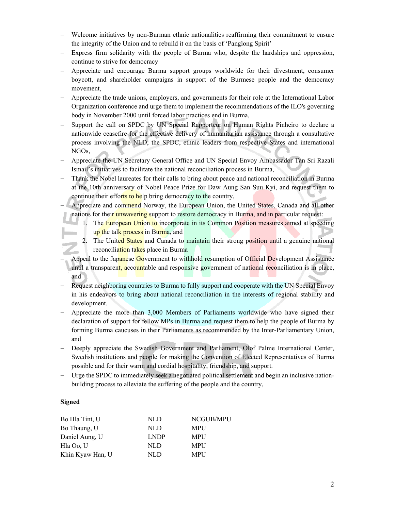- Welcome initiatives by non-Burman ethnic nationalities reaffirming their commitment to ensure the integrity of the Union and to rebuild it on the basis of 'Panglong Spirit'
- Express firm solidarity with the people of Burma who, despite the hardships and oppression, continue to strive for democracy
- Appreciate and encourage Burma support groups worldwide for their divestment, consumer boycott, and shareholder campaigns in support of the Burmese people and the democracy movement,
- Appreciate the trade unions, employers, and governments for their role at the International Labor Organization conference and urge them to implement the recommendations of the ILO's governing body in November 2000 until forced labor practices end in Burma,
- Support the call on SPDC by UN Special Rapporteur on Human Rights Pinheiro to declare a nationwide ceasefire for the effective delivery of humanitarian assistance through a consultative process involving the NLD, the SPDC, ethnic leaders from respective States and international NGOs,
- Appreciate the UN Secretary General Office and UN Special Envoy Ambassador Tan Sri Razali Ismail's initiatives to facilitate the national reconciliation process in Burma,
- Thank the Nobel laureates for their calls to bring about peace and national reconciliation in Burma at the 10th anniversary of Nobel Peace Prize for Daw Aung San Suu Kyi, and request them to continue their efforts to help bring democracy to the country,
- Appreciate and commend Norway, the European Union, the United States, Canada and all other nations for their unwavering support to restore democracy in Burma, and in particular request:
	- 1. The European Union to incorporate in its Common Position measures aimed at speeding up the talk process in Burma, and
	- 2. The United States and Canada to maintain their strong position until a genuine national reconciliation takes place in Burma
- Appeal to the Japanese Government to withhold resumption of Official Development Assistance until a transparent, accountable and responsive government of national reconciliation is in place, and
- Request neighboring countries to Burma to fully support and cooperate with the UN Special Envoy in his endeavors to bring about national reconciliation in the interests of regional stability and development.
- Appreciate the more than 3,000 Members of Parliaments worldwide who have signed their declaration of support for fellow MPs in Burma and request them to help the people of Burma by forming Burma caucuses in their Parliaments as recommended by the Inter-Parliamentary Union, and
- Deeply appreciate the Swedish Government and Parliament, Olof Palme International Center, Swedish institutions and people for making the Convention of Elected Representatives of Burma possible and for their warm and cordial hospitality, friendship, and support.
- Urge the SPDC to immediately seek a negotiated political settlement and begin an inclusive nationbuilding process to alleviate the suffering of the people and the country,

#### **Signed**

| Bo Hla Tint, U   | NLD.        | NCGUB/MPU  |
|------------------|-------------|------------|
| Bo Thaung, U     | NLD         | MPU        |
| Daniel Aung, U   | <b>LNDP</b> | <b>MPU</b> |
| Hla Oo, U        | NLD         | <b>MPU</b> |
| Khin Kyaw Han, U | NLD.        | <b>MPU</b> |